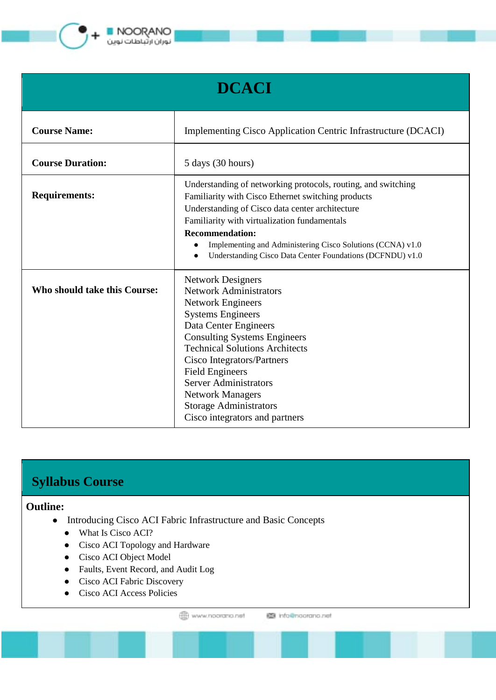

**NOORANO** 

| <b>DCACI</b>                 |                                                                                                                                                                                                                                                                                                                                                                                                                  |
|------------------------------|------------------------------------------------------------------------------------------------------------------------------------------------------------------------------------------------------------------------------------------------------------------------------------------------------------------------------------------------------------------------------------------------------------------|
| <b>Course Name:</b>          | Implementing Cisco Application Centric Infrastructure (DCACI)                                                                                                                                                                                                                                                                                                                                                    |
| <b>Course Duration:</b>      | 5 days (30 hours)                                                                                                                                                                                                                                                                                                                                                                                                |
| <b>Requirements:</b>         | Understanding of networking protocols, routing, and switching<br>Familiarity with Cisco Ethernet switching products<br>Understanding of Cisco data center architecture<br>Familiarity with virtualization fundamentals<br><b>Recommendation:</b><br>Implementing and Administering Cisco Solutions (CCNA) v1.0<br>Understanding Cisco Data Center Foundations (DCFNDU) v1.0                                      |
| Who should take this Course: | <b>Network Designers</b><br><b>Network Administrators</b><br><b>Network Engineers</b><br><b>Systems Engineers</b><br>Data Center Engineers<br><b>Consulting Systems Engineers</b><br><b>Technical Solutions Architects</b><br>Cisco Integrators/Partners<br><b>Field Engineers</b><br><b>Server Administrators</b><br><b>Network Managers</b><br><b>Storage Administrators</b><br>Cisco integrators and partners |

## **Syllabus Course**

## **Outline:**

- Introducing Cisco ACI Fabric Infrastructure and Basic Concepts
	- What Is Cisco ACI?
	- Cisco ACI Topology and Hardware
	- Cisco ACI Object Model
	- Faults, Event Record, and Audit Log
	- Cisco ACI Fabric Discovery
	- Cisco ACI Access Policies

www.noorano.net 图 info@noorano.net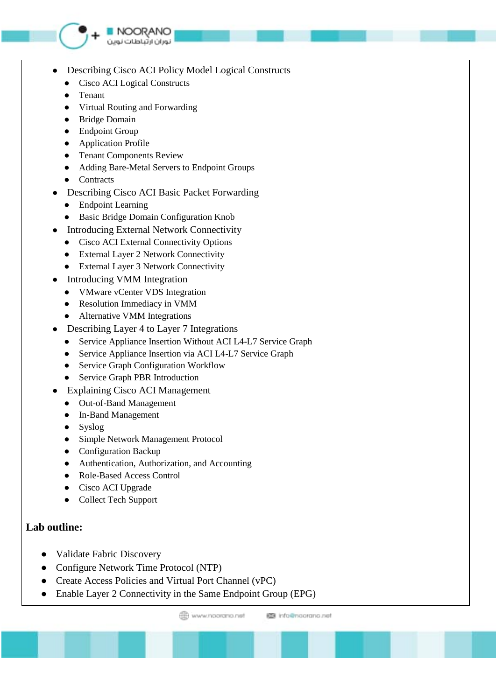

## **NOORANO** توران ارتباطات نوبن

- Describing Cisco ACI Policy Model Logical Constructs
	- Cisco ACI Logical Constructs
	- Tenant
	- Virtual Routing and Forwarding
	- Bridge Domain
	- Endpoint Group
	- Application Profile
	- Tenant Components Review
	- Adding Bare-Metal Servers to Endpoint Groups
	- Contracts
- Describing Cisco ACI Basic Packet Forwarding
	- Endpoint Learning
	- Basic Bridge Domain Configuration Knob
- Introducing External Network Connectivity
	- Cisco ACI External Connectivity Options
	- External Layer 2 Network Connectivity
	- External Layer 3 Network Connectivity
- Introducing VMM Integration
	- VMware vCenter VDS Integration
	- Resolution Immediacy in VMM
	- Alternative VMM Integrations
- **Describing Layer 4 to Layer 7 Integrations** 
	- Service Appliance Insertion Without ACI L4-L7 Service Graph
	- Service Appliance Insertion via ACI L4-L7 Service Graph
	- Service Graph Configuration Workflow
	- Service Graph PBR Introduction
- Explaining Cisco ACI Management
	- Out-of-Band Management
	- In-Band Management
	- Syslog
	- Simple Network Management Protocol
	- Configuration Backup
	- Authentication, Authorization, and Accounting
	- Role-Based Access Control
	- Cisco ACI Upgrade
	- Collect Tech Support

## **Lab outline:**

- Validate Fabric Discovery
- Configure Network Time Protocol (NTP)
- Create Access Policies and Virtual Port Channel (vPC)
- Enable Layer 2 Connectivity in the Same Endpoint Group (EPG)

et www.noorano.net

**IS info@noorano.net**